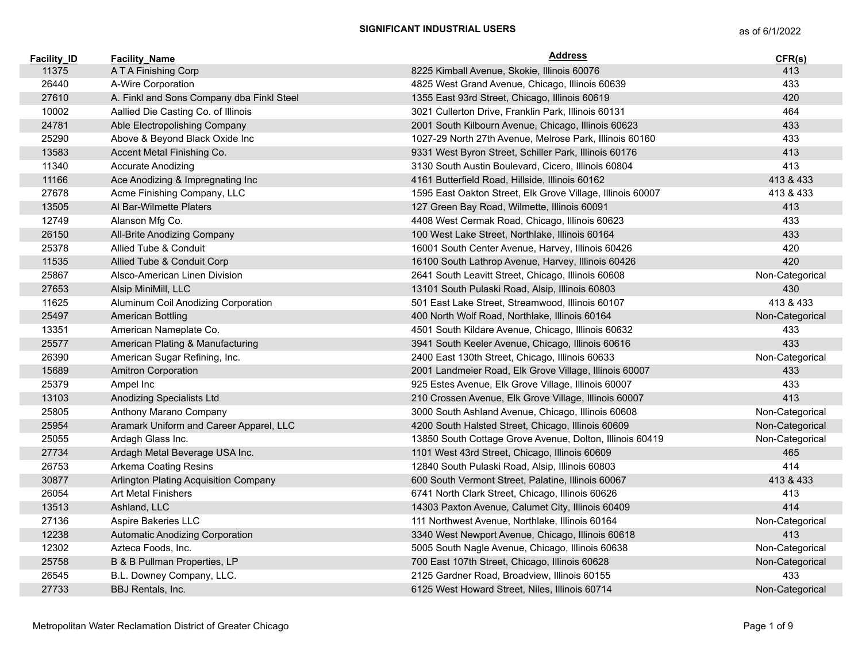| <b>Facility ID</b> | <b>Facility Name</b>                      | <b>Address</b>                                             | CFR(s)          |
|--------------------|-------------------------------------------|------------------------------------------------------------|-----------------|
| 11375              | A T A Finishing Corp                      | 8225 Kimball Avenue, Skokie, Illinois 60076                | 413             |
| 26440              | A-Wire Corporation                        | 4825 West Grand Avenue, Chicago, Illinois 60639            | 433             |
| 27610              | A. Finkl and Sons Company dba Finkl Steel | 1355 East 93rd Street, Chicago, Illinois 60619             | 420             |
| 10002              | Aallied Die Casting Co. of Illinois       | 3021 Cullerton Drive, Franklin Park, Illinois 60131        | 464             |
| 24781              | Able Electropolishing Company             | 2001 South Kilbourn Avenue, Chicago, Illinois 60623        | 433             |
| 25290              | Above & Beyond Black Oxide Inc            | 1027-29 North 27th Avenue, Melrose Park, Illinois 60160    | 433             |
| 13583              | Accent Metal Finishing Co.                | 9331 West Byron Street, Schiller Park, Illinois 60176      | 413             |
| 11340              | Accurate Anodizing                        | 3130 South Austin Boulevard, Cicero, Illinois 60804        | 413             |
| 11166              | Ace Anodizing & Impregnating Inc          | 4161 Butterfield Road, Hillside, Illinois 60162            | 413 & 433       |
| 27678              | Acme Finishing Company, LLC               | 1595 East Oakton Street, Elk Grove Village, Illinois 60007 | 413 & 433       |
| 13505              | Al Bar-Wilmette Platers                   | 127 Green Bay Road, Wilmette, Illinois 60091               | 413             |
| 12749              | Alanson Mfg Co.                           | 4408 West Cermak Road, Chicago, Illinois 60623             | 433             |
| 26150              | All-Brite Anodizing Company               | 100 West Lake Street, Northlake, Illinois 60164            | 433             |
| 25378              | Allied Tube & Conduit                     | 16001 South Center Avenue, Harvey, Illinois 60426          | 420             |
| 11535              | Allied Tube & Conduit Corp                | 16100 South Lathrop Avenue, Harvey, Illinois 60426         | 420             |
| 25867              | Alsco-American Linen Division             | 2641 South Leavitt Street, Chicago, Illinois 60608         | Non-Categorical |
| 27653              | Alsip MiniMill, LLC                       | 13101 South Pulaski Road, Alsip, Illinois 60803            | 430             |
| 11625              | Aluminum Coil Anodizing Corporation       | 501 East Lake Street, Streamwood, Illinois 60107           | 413 & 433       |
| 25497              | American Bottling                         | 400 North Wolf Road, Northlake, Illinois 60164             | Non-Categorical |
| 13351              | American Nameplate Co.                    | 4501 South Kildare Avenue, Chicago, Illinois 60632         | 433             |
| 25577              | American Plating & Manufacturing          | 3941 South Keeler Avenue, Chicago, Illinois 60616          | 433             |
| 26390              | American Sugar Refining, Inc.             | 2400 East 130th Street, Chicago, Illinois 60633            | Non-Categorical |
| 15689              | <b>Amitron Corporation</b>                | 2001 Landmeier Road, Elk Grove Village, Illinois 60007     | 433             |
| 25379              | Ampel Inc                                 | 925 Estes Avenue, Elk Grove Village, Illinois 60007        | 433             |
| 13103              | Anodizing Specialists Ltd                 | 210 Crossen Avenue, Elk Grove Village, Illinois 60007      | 413             |
| 25805              | Anthony Marano Company                    | 3000 South Ashland Avenue, Chicago, Illinois 60608         | Non-Categorical |
| 25954              | Aramark Uniform and Career Apparel, LLC   | 4200 South Halsted Street, Chicago, Illinois 60609         | Non-Categorical |
| 25055              | Ardagh Glass Inc.                         | 13850 South Cottage Grove Avenue, Dolton, Illinois 60419   | Non-Categorical |
| 27734              | Ardagh Metal Beverage USA Inc.            | 1101 West 43rd Street, Chicago, Illinois 60609             | 465             |
| 26753              | Arkema Coating Resins                     | 12840 South Pulaski Road, Alsip, Illinois 60803            | 414             |
| 30877              | Arlington Plating Acquisition Company     | 600 South Vermont Street, Palatine, Illinois 60067         | 413 & 433       |
| 26054              | <b>Art Metal Finishers</b>                | 6741 North Clark Street, Chicago, Illinois 60626           | 413             |
| 13513              | Ashland, LLC                              | 14303 Paxton Avenue, Calumet City, Illinois 60409          | 414             |
| 27136              | Aspire Bakeries LLC                       | 111 Northwest Avenue, Northlake, Illinois 60164            | Non-Categorical |
| 12238              | Automatic Anodizing Corporation           | 3340 West Newport Avenue, Chicago, Illinois 60618          | 413             |
| 12302              | Azteca Foods, Inc.                        | 5005 South Nagle Avenue, Chicago, Illinois 60638           | Non-Categorical |
| 25758              | B & B Pullman Properties, LP              | 700 East 107th Street, Chicago, Illinois 60628             | Non-Categorical |
| 26545              | B.L. Downey Company, LLC.                 | 2125 Gardner Road, Broadview, Illinois 60155               | 433             |
| 27733              | BBJ Rentals, Inc.                         | 6125 West Howard Street, Niles, Illinois 60714             | Non-Categorical |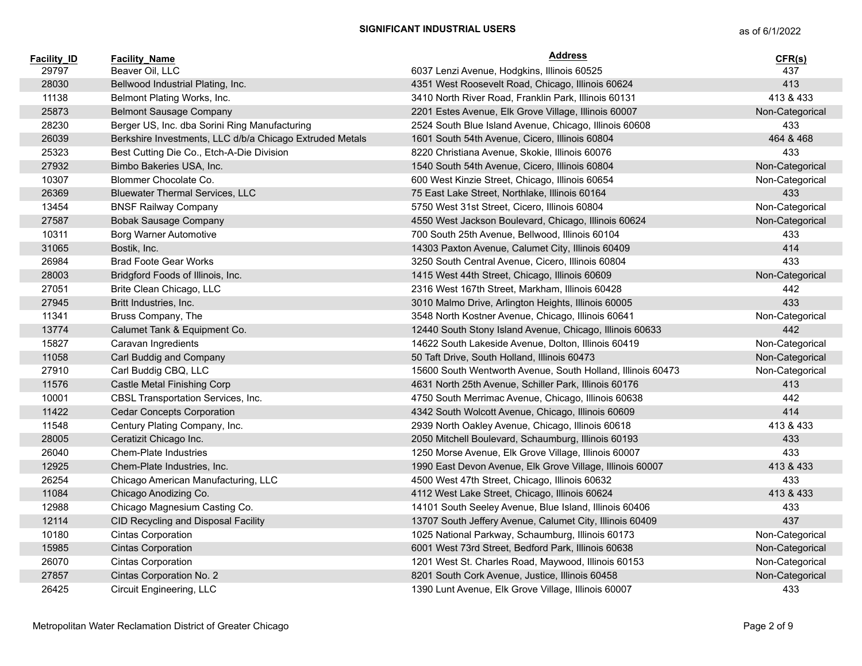| <b>Facility ID</b> | <b>Facility Name</b>                                     | <b>Address</b>                                              | CFR(s)          |
|--------------------|----------------------------------------------------------|-------------------------------------------------------------|-----------------|
| 29797              | Beaver Oil, LLC                                          | 6037 Lenzi Avenue, Hodgkins, Illinois 60525                 | 437             |
| 28030              | Bellwood Industrial Plating, Inc.                        | 4351 West Roosevelt Road, Chicago, Illinois 60624           | 413             |
| 11138              | Belmont Plating Works, Inc.                              | 3410 North River Road, Franklin Park, Illinois 60131        | 413 & 433       |
| 25873              | <b>Belmont Sausage Company</b>                           | 2201 Estes Avenue, Elk Grove Village, Illinois 60007        | Non-Categorical |
| 28230              | Berger US, Inc. dba Sorini Ring Manufacturing            | 2524 South Blue Island Avenue, Chicago, Illinois 60608      | 433             |
| 26039              | Berkshire Investments, LLC d/b/a Chicago Extruded Metals | 1601 South 54th Avenue, Cicero, Illinois 60804              | 464 & 468       |
| 25323              | Best Cutting Die Co., Etch-A-Die Division                | 8220 Christiana Avenue, Skokie, Illinois 60076              | 433             |
| 27932              | Bimbo Bakeries USA, Inc.                                 | 1540 South 54th Avenue, Cicero, Illinois 60804              | Non-Categorical |
| 10307              | Blommer Chocolate Co.                                    | 600 West Kinzie Street, Chicago, Illinois 60654             | Non-Categorical |
| 26369              | <b>Bluewater Thermal Services, LLC</b>                   | 75 East Lake Street, Northlake, Illinois 60164              | 433             |
| 13454              | <b>BNSF Railway Company</b>                              | 5750 West 31st Street, Cicero, Illinois 60804               | Non-Categorical |
| 27587              | <b>Bobak Sausage Company</b>                             | 4550 West Jackson Boulevard, Chicago, Illinois 60624        | Non-Categorical |
| 10311              | <b>Borg Warner Automotive</b>                            | 700 South 25th Avenue, Bellwood, Illinois 60104             | 433             |
| 31065              | Bostik, Inc.                                             | 14303 Paxton Avenue, Calumet City, Illinois 60409           | 414             |
| 26984              | <b>Brad Foote Gear Works</b>                             | 3250 South Central Avenue, Cicero, Illinois 60804           | 433             |
| 28003              | Bridgford Foods of Illinois, Inc.                        | 1415 West 44th Street, Chicago, Illinois 60609              | Non-Categorical |
| 27051              | Brite Clean Chicago, LLC                                 | 2316 West 167th Street, Markham, Illinois 60428             | 442             |
| 27945              | Britt Industries, Inc.                                   | 3010 Malmo Drive, Arlington Heights, Illinois 60005         | 433             |
| 11341              | Bruss Company, The                                       | 3548 North Kostner Avenue, Chicago, Illinois 60641          | Non-Categorical |
| 13774              | Calumet Tank & Equipment Co.                             | 12440 South Stony Island Avenue, Chicago, Illinois 60633    | 442             |
| 15827              | Caravan Ingredients                                      | 14622 South Lakeside Avenue, Dolton, Illinois 60419         | Non-Categorical |
| 11058              | Carl Buddig and Company                                  | 50 Taft Drive, South Holland, Illinois 60473                | Non-Categorical |
| 27910              | Carl Buddig CBQ, LLC                                     | 15600 South Wentworth Avenue, South Holland, Illinois 60473 | Non-Categorical |
| 11576              | Castle Metal Finishing Corp                              | 4631 North 25th Avenue, Schiller Park, Illinois 60176       | 413             |
| 10001              | CBSL Transportation Services, Inc.                       | 4750 South Merrimac Avenue, Chicago, Illinois 60638         | 442             |
| 11422              | <b>Cedar Concepts Corporation</b>                        | 4342 South Wolcott Avenue, Chicago, Illinois 60609          | 414             |
| 11548              | Century Plating Company, Inc.                            | 2939 North Oakley Avenue, Chicago, Illinois 60618           | 413 & 433       |
| 28005              | Ceratizit Chicago Inc.                                   | 2050 Mitchell Boulevard, Schaumburg, Illinois 60193         | 433             |
| 26040              | <b>Chem-Plate Industries</b>                             | 1250 Morse Avenue, Elk Grove Village, Illinois 60007        | 433             |
| 12925              | Chem-Plate Industries, Inc.                              | 1990 East Devon Avenue, Elk Grove Village, Illinois 60007   | 413 & 433       |
| 26254              | Chicago American Manufacturing, LLC                      | 4500 West 47th Street, Chicago, Illinois 60632              | 433             |
| 11084              | Chicago Anodizing Co.                                    | 4112 West Lake Street, Chicago, Illinois 60624              | 413 & 433       |
| 12988              | Chicago Magnesium Casting Co.                            | 14101 South Seeley Avenue, Blue Island, Illinois 60406      | 433             |
| 12114              | CID Recycling and Disposal Facility                      | 13707 South Jeffery Avenue, Calumet City, Illinois 60409    | 437             |
| 10180              | <b>Cintas Corporation</b>                                | 1025 National Parkway, Schaumburg, Illinois 60173           | Non-Categorical |
| 15985              | Cintas Corporation                                       | 6001 West 73rd Street, Bedford Park, Illinois 60638         | Non-Categorical |
| 26070              | Cintas Corporation                                       | 1201 West St. Charles Road, Maywood, Illinois 60153         | Non-Categorical |
| 27857              | Cintas Corporation No. 2                                 | 8201 South Cork Avenue, Justice, Illinois 60458             | Non-Categorical |
| 26425              | Circuit Engineering, LLC                                 | 1390 Lunt Avenue, Elk Grove Village, Illinois 60007         | 433             |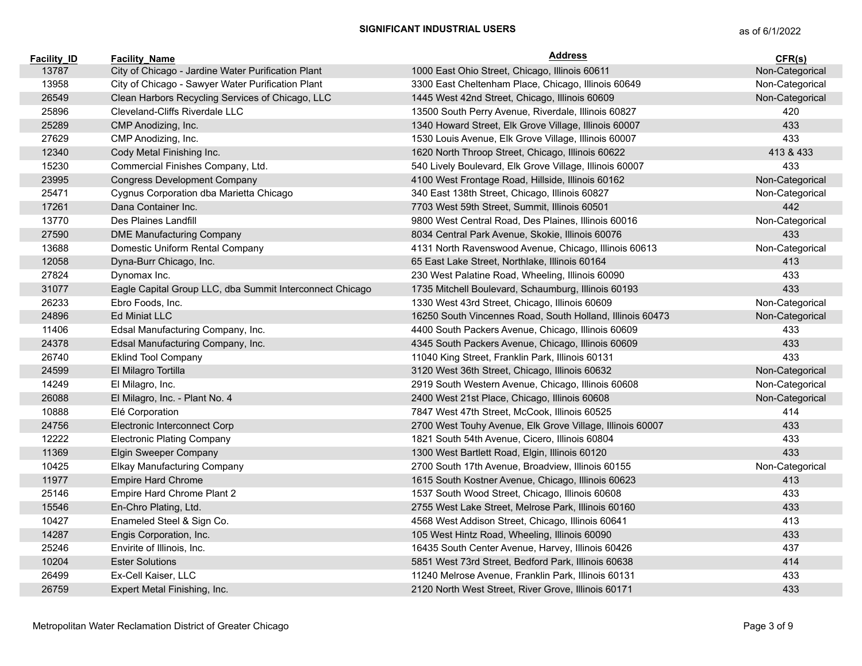| <b>Facility ID</b> | <b>Facility Name</b>                                     | <b>Address</b>                                            | CFR(s)          |
|--------------------|----------------------------------------------------------|-----------------------------------------------------------|-----------------|
| 13787              | City of Chicago - Jardine Water Purification Plant       | 1000 East Ohio Street, Chicago, Illinois 60611            | Non-Categorical |
| 13958              | City of Chicago - Sawyer Water Purification Plant        | 3300 East Cheltenham Place, Chicago, Illinois 60649       | Non-Categorical |
| 26549              | Clean Harbors Recycling Services of Chicago, LLC         | 1445 West 42nd Street, Chicago, Illinois 60609            | Non-Categorical |
| 25896              | Cleveland-Cliffs Riverdale LLC                           | 13500 South Perry Avenue, Riverdale, Illinois 60827       | 420             |
| 25289              | CMP Anodizing, Inc.                                      | 1340 Howard Street, Elk Grove Village, Illinois 60007     | 433             |
| 27629              | CMP Anodizing, Inc.                                      | 1530 Louis Avenue, Elk Grove Village, Illinois 60007      | 433             |
| 12340              | Cody Metal Finishing Inc.                                | 1620 North Throop Street, Chicago, Illinois 60622         | 413 & 433       |
| 15230              | Commercial Finishes Company, Ltd.                        | 540 Lively Boulevard, Elk Grove Village, Illinois 60007   | 433             |
| 23995              | <b>Congress Development Company</b>                      | 4100 West Frontage Road, Hillside, Illinois 60162         | Non-Categorical |
| 25471              | Cygnus Corporation dba Marietta Chicago                  | 340 East 138th Street, Chicago, Illinois 60827            | Non-Categorical |
| 17261              | Dana Container Inc.                                      | 7703 West 59th Street, Summit, Illinois 60501             | 442             |
| 13770              | Des Plaines Landfill                                     | 9800 West Central Road, Des Plaines, Illinois 60016       | Non-Categorical |
| 27590              | <b>DME Manufacturing Company</b>                         | 8034 Central Park Avenue, Skokie, Illinois 60076          | 433             |
| 13688              | Domestic Uniform Rental Company                          | 4131 North Ravenswood Avenue, Chicago, Illinois 60613     | Non-Categorical |
| 12058              | Dyna-Burr Chicago, Inc.                                  | 65 East Lake Street, Northlake, Illinois 60164            | 413             |
| 27824              | Dynomax Inc.                                             | 230 West Palatine Road, Wheeling, Illinois 60090          | 433             |
| 31077              | Eagle Capital Group LLC, dba Summit Interconnect Chicago | 1735 Mitchell Boulevard, Schaumburg, Illinois 60193       | 433             |
| 26233              | Ebro Foods, Inc.                                         | 1330 West 43rd Street, Chicago, Illinois 60609            | Non-Categorical |
| 24896              | <b>Ed Miniat LLC</b>                                     | 16250 South Vincennes Road, South Holland, Illinois 60473 | Non-Categorical |
| 11406              | Edsal Manufacturing Company, Inc.                        | 4400 South Packers Avenue, Chicago, Illinois 60609        | 433             |
| 24378              | Edsal Manufacturing Company, Inc.                        | 4345 South Packers Avenue, Chicago, Illinois 60609        | 433             |
| 26740              | <b>Eklind Tool Company</b>                               | 11040 King Street, Franklin Park, Illinois 60131          | 433             |
| 24599              | El Milagro Tortilla                                      | 3120 West 36th Street, Chicago, Illinois 60632            | Non-Categorical |
| 14249              | El Milagro, Inc.                                         | 2919 South Western Avenue, Chicago, Illinois 60608        | Non-Categorical |
| 26088              | El Milagro, Inc. - Plant No. 4                           | 2400 West 21st Place, Chicago, Illinois 60608             | Non-Categorical |
| 10888              | Elé Corporation                                          | 7847 West 47th Street, McCook, Illinois 60525             | 414             |
| 24756              | Electronic Interconnect Corp                             | 2700 West Touhy Avenue, Elk Grove Village, Illinois 60007 | 433             |
| 12222              | <b>Electronic Plating Company</b>                        | 1821 South 54th Avenue, Cicero, Illinois 60804            | 433             |
| 11369              | Elgin Sweeper Company                                    | 1300 West Bartlett Road, Elgin, Illinois 60120            | 433             |
| 10425              | Elkay Manufacturing Company                              | 2700 South 17th Avenue, Broadview, Illinois 60155         | Non-Categorical |
| 11977              | <b>Empire Hard Chrome</b>                                | 1615 South Kostner Avenue, Chicago, Illinois 60623        | 413             |
| 25146              | Empire Hard Chrome Plant 2                               | 1537 South Wood Street, Chicago, Illinois 60608           | 433             |
| 15546              | En-Chro Plating, Ltd.                                    | 2755 West Lake Street, Melrose Park, Illinois 60160       | 433             |
| 10427              | Enameled Steel & Sign Co.                                | 4568 West Addison Street, Chicago, Illinois 60641         | 413             |
| 14287              | Engis Corporation, Inc.                                  | 105 West Hintz Road, Wheeling, Illinois 60090             | 433             |
| 25246              | Envirite of Illinois, Inc.                               | 16435 South Center Avenue, Harvey, Illinois 60426         | 437             |
| 10204              | <b>Ester Solutions</b>                                   | 5851 West 73rd Street, Bedford Park, Illinois 60638       | 414             |
| 26499              | Ex-Cell Kaiser, LLC                                      | 11240 Melrose Avenue, Franklin Park, Illinois 60131       | 433             |
| 26759              | Expert Metal Finishing, Inc.                             | 2120 North West Street, River Grove, Illinois 60171       | 433             |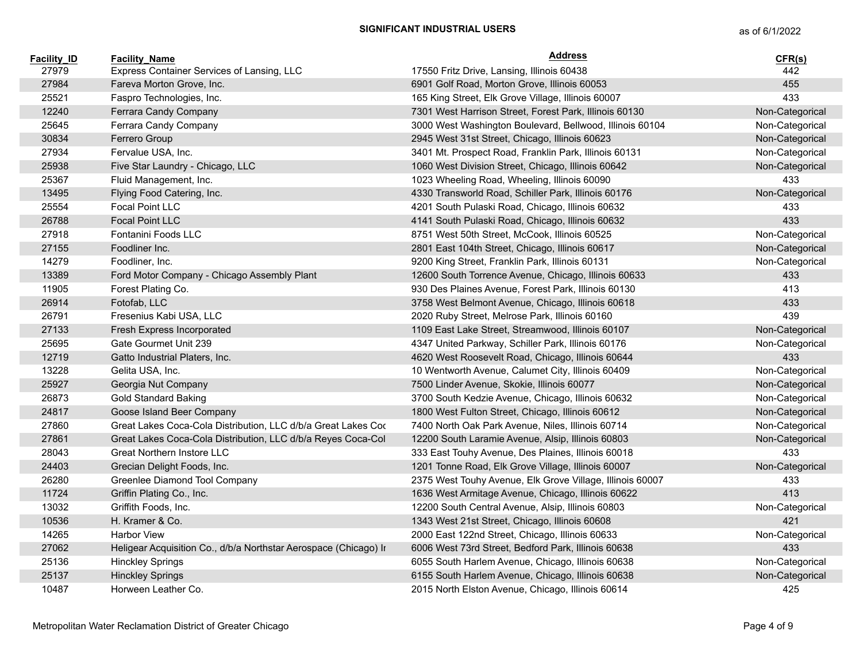| <b>Facility ID</b> | <b>Facility Name</b>                                             | <b>Address</b>                                            | CFR(s)          |
|--------------------|------------------------------------------------------------------|-----------------------------------------------------------|-----------------|
| 27979              | Express Container Services of Lansing, LLC                       | 17550 Fritz Drive, Lansing, Illinois 60438                | 442             |
| 27984              | Fareva Morton Grove, Inc.                                        | 6901 Golf Road, Morton Grove, Illinois 60053              | 455             |
| 25521              | Faspro Technologies, Inc.                                        | 165 King Street, Elk Grove Village, Illinois 60007        | 433             |
| 12240              | Ferrara Candy Company                                            | 7301 West Harrison Street, Forest Park, Illinois 60130    | Non-Categorical |
| 25645              | Ferrara Candy Company                                            | 3000 West Washington Boulevard, Bellwood, Illinois 60104  | Non-Categorical |
| 30834              | Ferrero Group                                                    | 2945 West 31st Street, Chicago, Illinois 60623            | Non-Categorical |
| 27934              | Fervalue USA, Inc.                                               | 3401 Mt. Prospect Road, Franklin Park, Illinois 60131     | Non-Categorical |
| 25938              | Five Star Laundry - Chicago, LLC                                 | 1060 West Division Street, Chicago, Illinois 60642        | Non-Categorical |
| 25367              | Fluid Management, Inc.                                           | 1023 Wheeling Road, Wheeling, Illinois 60090              | 433             |
| 13495              | Flying Food Catering, Inc.                                       | 4330 Transworld Road, Schiller Park, Illinois 60176       | Non-Categorical |
| 25554              | Focal Point LLC                                                  | 4201 South Pulaski Road, Chicago, Illinois 60632          | 433             |
| 26788              | <b>Focal Point LLC</b>                                           | 4141 South Pulaski Road, Chicago, Illinois 60632          | 433             |
| 27918              | Fontanini Foods LLC                                              | 8751 West 50th Street, McCook, Illinois 60525             | Non-Categorical |
| 27155              | Foodliner Inc.                                                   | 2801 East 104th Street, Chicago, Illinois 60617           | Non-Categorical |
| 14279              | Foodliner, Inc.                                                  | 9200 King Street, Franklin Park, Illinois 60131           | Non-Categorical |
| 13389              | Ford Motor Company - Chicago Assembly Plant                      | 12600 South Torrence Avenue, Chicago, Illinois 60633      | 433             |
| 11905              | Forest Plating Co.                                               | 930 Des Plaines Avenue, Forest Park, Illinois 60130       | 413             |
| 26914              | Fotofab, LLC                                                     | 3758 West Belmont Avenue, Chicago, Illinois 60618         | 433             |
| 26791              | Fresenius Kabi USA, LLC                                          | 2020 Ruby Street, Melrose Park, Illinois 60160            | 439             |
| 27133              | Fresh Express Incorporated                                       | 1109 East Lake Street, Streamwood, Illinois 60107         | Non-Categorical |
| 25695              | Gate Gourmet Unit 239                                            | 4347 United Parkway, Schiller Park, Illinois 60176        | Non-Categorical |
| 12719              | Gatto Industrial Platers, Inc.                                   | 4620 West Roosevelt Road, Chicago, Illinois 60644         | 433             |
| 13228              | Gelita USA, Inc.                                                 | 10 Wentworth Avenue, Calumet City, Illinois 60409         | Non-Categorical |
| 25927              | Georgia Nut Company                                              | 7500 Linder Avenue, Skokie, Illinois 60077                | Non-Categorical |
| 26873              | <b>Gold Standard Baking</b>                                      | 3700 South Kedzie Avenue, Chicago, Illinois 60632         | Non-Categorical |
| 24817              | Goose Island Beer Company                                        | 1800 West Fulton Street, Chicago, Illinois 60612          | Non-Categorical |
| 27860              | Great Lakes Coca-Cola Distribution, LLC d/b/a Great Lakes Cor    | 7400 North Oak Park Avenue, Niles, Illinois 60714         | Non-Categorical |
| 27861              | Great Lakes Coca-Cola Distribution, LLC d/b/a Reyes Coca-Col     | 12200 South Laramie Avenue, Alsip, Illinois 60803         | Non-Categorical |
| 28043              | <b>Great Northern Instore LLC</b>                                | 333 East Touhy Avenue, Des Plaines, Illinois 60018        | 433             |
| 24403              | Grecian Delight Foods, Inc.                                      | 1201 Tonne Road, Elk Grove Village, Illinois 60007        | Non-Categorical |
| 26280              | Greenlee Diamond Tool Company                                    | 2375 West Touhy Avenue, Elk Grove Village, Illinois 60007 | 433             |
| 11724              | Griffin Plating Co., Inc.                                        | 1636 West Armitage Avenue, Chicago, Illinois 60622        | 413             |
| 13032              | Griffith Foods, Inc.                                             | 12200 South Central Avenue, Alsip, Illinois 60803         | Non-Categorical |
| 10536              | H. Kramer & Co.                                                  | 1343 West 21st Street, Chicago, Illinois 60608            | 421             |
| 14265              | <b>Harbor View</b>                                               | 2000 East 122nd Street, Chicago, Illinois 60633           | Non-Categorical |
| 27062              | Heligear Acquisition Co., d/b/a Northstar Aerospace (Chicago) In | 6006 West 73rd Street, Bedford Park, Illinois 60638       | 433             |
| 25136              | <b>Hinckley Springs</b>                                          | 6055 South Harlem Avenue, Chicago, Illinois 60638         | Non-Categorical |
| 25137              | <b>Hinckley Springs</b>                                          | 6155 South Harlem Avenue, Chicago, Illinois 60638         | Non-Categorical |
| 10487              | Horween Leather Co.                                              | 2015 North Elston Avenue, Chicago, Illinois 60614         | 425             |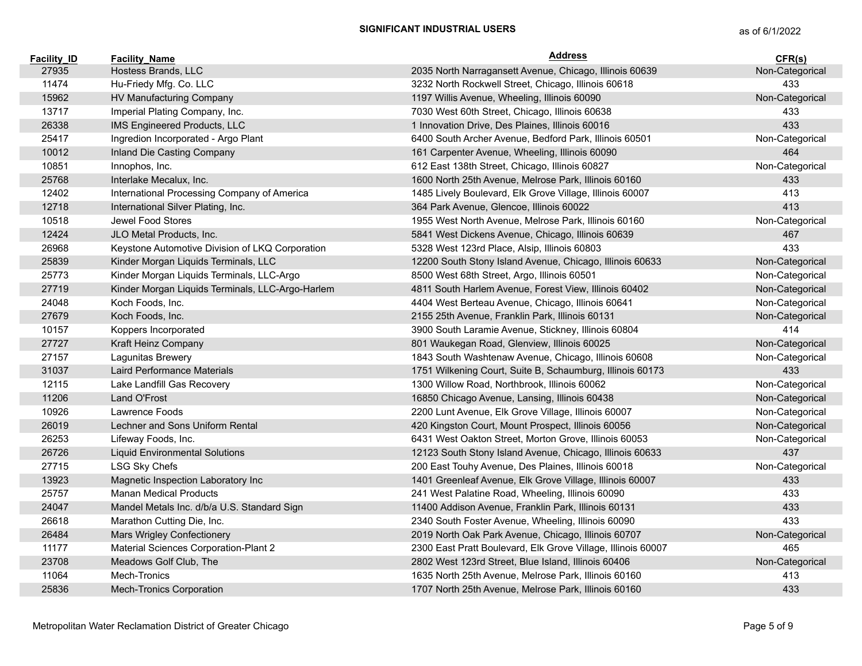| <b>Facility ID</b> | <b>Facility Name</b>                             | <b>Address</b>                                               | CFR(s)          |
|--------------------|--------------------------------------------------|--------------------------------------------------------------|-----------------|
| 27935              | Hostess Brands, LLC                              | 2035 North Narragansett Avenue, Chicago, Illinois 60639      | Non-Categorical |
| 11474              | Hu-Friedy Mfg. Co. LLC                           | 3232 North Rockwell Street, Chicago, Illinois 60618          | 433             |
| 15962              | HV Manufacturing Company                         | 1197 Willis Avenue, Wheeling, Illinois 60090                 | Non-Categorical |
| 13717              | Imperial Plating Company, Inc.                   | 7030 West 60th Street, Chicago, Illinois 60638               | 433             |
| 26338              | IMS Engineered Products, LLC                     | 1 Innovation Drive, Des Plaines, Illinois 60016              | 433             |
| 25417              | Ingredion Incorporated - Argo Plant              | 6400 South Archer Avenue, Bedford Park, Illinois 60501       | Non-Categorical |
| 10012              | Inland Die Casting Company                       | 161 Carpenter Avenue, Wheeling, Illinois 60090               | 464             |
| 10851              | Innophos, Inc.                                   | 612 East 138th Street, Chicago, Illinois 60827               | Non-Categorical |
| 25768              | Interlake Mecalux, Inc.                          | 1600 North 25th Avenue, Melrose Park, Illinois 60160         | 433             |
| 12402              | International Processing Company of America      | 1485 Lively Boulevard, Elk Grove Village, Illinois 60007     | 413             |
| 12718              | International Silver Plating, Inc.               | 364 Park Avenue, Glencoe, Illinois 60022                     | 413             |
| 10518              | Jewel Food Stores                                | 1955 West North Avenue, Melrose Park, Illinois 60160         | Non-Categorical |
| 12424              | JLO Metal Products, Inc.                         | 5841 West Dickens Avenue, Chicago, Illinois 60639            | 467             |
| 26968              | Keystone Automotive Division of LKQ Corporation  | 5328 West 123rd Place, Alsip, Illinois 60803                 | 433             |
| 25839              | Kinder Morgan Liquids Terminals, LLC             | 12200 South Stony Island Avenue, Chicago, Illinois 60633     | Non-Categorical |
| 25773              | Kinder Morgan Liquids Terminals, LLC-Argo        | 8500 West 68th Street, Argo, Illinois 60501                  | Non-Categorical |
| 27719              | Kinder Morgan Liquids Terminals, LLC-Argo-Harlem | 4811 South Harlem Avenue, Forest View, Illinois 60402        | Non-Categorical |
| 24048              | Koch Foods, Inc.                                 | 4404 West Berteau Avenue, Chicago, Illinois 60641            | Non-Categorical |
| 27679              | Koch Foods, Inc.                                 | 2155 25th Avenue, Franklin Park, Illinois 60131              | Non-Categorical |
| 10157              | Koppers Incorporated                             | 3900 South Laramie Avenue, Stickney, Illinois 60804          | 414             |
| 27727              | Kraft Heinz Company                              | 801 Waukegan Road, Glenview, Illinois 60025                  | Non-Categorical |
| 27157              | Lagunitas Brewery                                | 1843 South Washtenaw Avenue, Chicago, Illinois 60608         | Non-Categorical |
| 31037              | Laird Performance Materials                      | 1751 Wilkening Court, Suite B, Schaumburg, Illinois 60173    | 433             |
| 12115              | Lake Landfill Gas Recovery                       | 1300 Willow Road, Northbrook, Illinois 60062                 | Non-Categorical |
| 11206              | Land O'Frost                                     | 16850 Chicago Avenue, Lansing, Illinois 60438                | Non-Categorical |
| 10926              | Lawrence Foods                                   | 2200 Lunt Avenue, Elk Grove Village, Illinois 60007          | Non-Categorical |
| 26019              | Lechner and Sons Uniform Rental                  | 420 Kingston Court, Mount Prospect, Illinois 60056           | Non-Categorical |
| 26253              | Lifeway Foods, Inc.                              | 6431 West Oakton Street, Morton Grove, Illinois 60053        | Non-Categorical |
| 26726              | <b>Liquid Environmental Solutions</b>            | 12123 South Stony Island Avenue, Chicago, Illinois 60633     | 437             |
| 27715              | LSG Sky Chefs                                    | 200 East Touhy Avenue, Des Plaines, Illinois 60018           | Non-Categorical |
| 13923              | Magnetic Inspection Laboratory Inc               | 1401 Greenleaf Avenue, Elk Grove Village, Illinois 60007     | 433             |
| 25757              | <b>Manan Medical Products</b>                    | 241 West Palatine Road, Wheeling, Illinois 60090             | 433             |
| 24047              | Mandel Metals Inc. d/b/a U.S. Standard Sign      | 11400 Addison Avenue, Franklin Park, Illinois 60131          | 433             |
| 26618              | Marathon Cutting Die, Inc.                       | 2340 South Foster Avenue, Wheeling, Illinois 60090           | 433             |
| 26484              | Mars Wrigley Confectionery                       | 2019 North Oak Park Avenue, Chicago, Illinois 60707          | Non-Categorical |
| 11177              | Material Sciences Corporation-Plant 2            | 2300 East Pratt Boulevard, Elk Grove Village, Illinois 60007 | 465             |
| 23708              | Meadows Golf Club, The                           | 2802 West 123rd Street, Blue Island, Illinois 60406          | Non-Categorical |
| 11064              | Mech-Tronics                                     | 1635 North 25th Avenue, Melrose Park, Illinois 60160         | 413             |
| 25836              | <b>Mech-Tronics Corporation</b>                  | 1707 North 25th Avenue, Melrose Park, Illinois 60160         | 433             |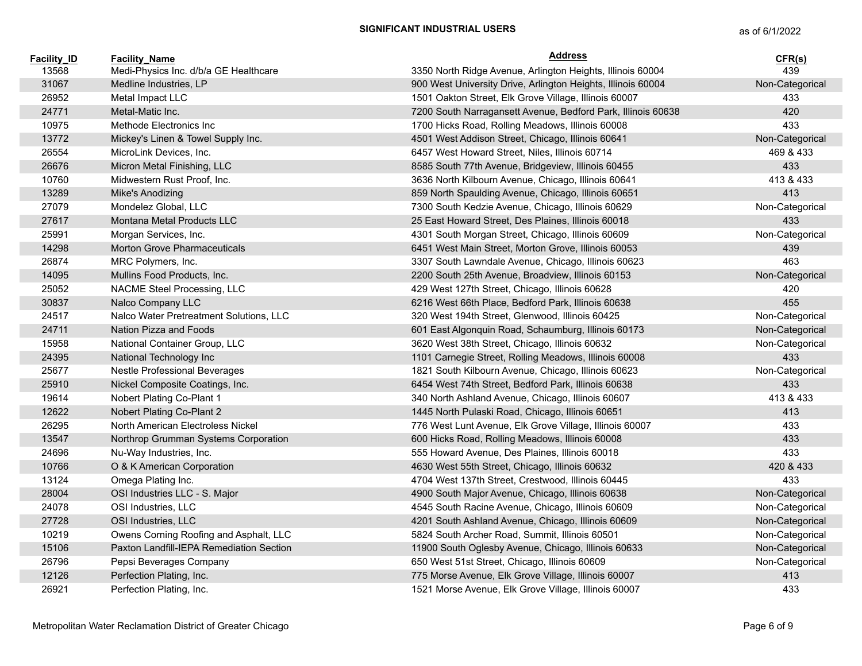| <b>Facility ID</b> | <b>Facility Name</b>                     | <b>Address</b>                                               | CFR(s)          |
|--------------------|------------------------------------------|--------------------------------------------------------------|-----------------|
| 13568              | Medi-Physics Inc. d/b/a GE Healthcare    | 3350 North Ridge Avenue, Arlington Heights, Illinois 60004   | 439             |
| 31067              | Medline Industries, LP                   | 900 West University Drive, Arlington Heights, Illinois 60004 | Non-Categorical |
| 26952              | Metal Impact LLC                         | 1501 Oakton Street, Elk Grove Village, Illinois 60007        | 433             |
| 24771              | Metal-Matic Inc.                         | 7200 South Narragansett Avenue, Bedford Park, Illinois 60638 | 420             |
| 10975              | Methode Electronics Inc                  | 1700 Hicks Road, Rolling Meadows, Illinois 60008             | 433             |
| 13772              | Mickey's Linen & Towel Supply Inc.       | 4501 West Addison Street, Chicago, Illinois 60641            | Non-Categorical |
| 26554              | MicroLink Devices, Inc.                  | 6457 West Howard Street, Niles, Illinois 60714               | 469 & 433       |
| 26676              | Micron Metal Finishing, LLC              | 8585 South 77th Avenue, Bridgeview, Illinois 60455           | 433             |
| 10760              | Midwestern Rust Proof, Inc.              | 3636 North Kilbourn Avenue, Chicago, Illinois 60641          | 413 & 433       |
| 13289              | Mike's Anodizing                         | 859 North Spaulding Avenue, Chicago, Illinois 60651          | 413             |
| 27079              | Mondelez Global, LLC                     | 7300 South Kedzie Avenue, Chicago, Illinois 60629            | Non-Categorical |
| 27617              | Montana Metal Products LLC               | 25 East Howard Street, Des Plaines, Illinois 60018           | 433             |
| 25991              | Morgan Services, Inc.                    | 4301 South Morgan Street, Chicago, Illinois 60609            | Non-Categorical |
| 14298              | <b>Morton Grove Pharmaceuticals</b>      | 6451 West Main Street, Morton Grove, Illinois 60053          | 439             |
| 26874              | MRC Polymers, Inc.                       | 3307 South Lawndale Avenue, Chicago, Illinois 60623          | 463             |
| 14095              | Mullins Food Products, Inc.              | 2200 South 25th Avenue, Broadview, Illinois 60153            | Non-Categorical |
| 25052              | NACME Steel Processing, LLC              | 429 West 127th Street, Chicago, Illinois 60628               | 420             |
| 30837              | Nalco Company LLC                        | 6216 West 66th Place, Bedford Park, Illinois 60638           | 455             |
| 24517              | Nalco Water Pretreatment Solutions, LLC  | 320 West 194th Street, Glenwood, Illinois 60425              | Non-Categorical |
| 24711              | Nation Pizza and Foods                   | 601 East Algonquin Road, Schaumburg, Illinois 60173          | Non-Categorical |
| 15958              | National Container Group, LLC            | 3620 West 38th Street, Chicago, Illinois 60632               | Non-Categorical |
| 24395              | National Technology Inc                  | 1101 Carnegie Street, Rolling Meadows, Illinois 60008        | 433             |
| 25677              | Nestle Professional Beverages            | 1821 South Kilbourn Avenue, Chicago, Illinois 60623          | Non-Categorical |
| 25910              | Nickel Composite Coatings, Inc.          | 6454 West 74th Street, Bedford Park, Illinois 60638          | 433             |
| 19614              | Nobert Plating Co-Plant 1                | 340 North Ashland Avenue, Chicago, Illinois 60607            | 413 & 433       |
| 12622              | Nobert Plating Co-Plant 2                | 1445 North Pulaski Road, Chicago, Illinois 60651             | 413             |
| 26295              | North American Electroless Nickel        | 776 West Lunt Avenue, Elk Grove Village, Illinois 60007      | 433             |
| 13547              | Northrop Grumman Systems Corporation     | 600 Hicks Road, Rolling Meadows, Illinois 60008              | 433             |
| 24696              | Nu-Way Industries, Inc.                  | 555 Howard Avenue, Des Plaines, Illinois 60018               | 433             |
| 10766              | O & K American Corporation               | 4630 West 55th Street, Chicago, Illinois 60632               | 420 & 433       |
| 13124              | Omega Plating Inc.                       | 4704 West 137th Street, Crestwood, Illinois 60445            | 433             |
| 28004              | OSI Industries LLC - S. Major            | 4900 South Major Avenue, Chicago, Illinois 60638             | Non-Categorical |
| 24078              | OSI Industries, LLC                      | 4545 South Racine Avenue, Chicago, Illinois 60609            | Non-Categorical |
| 27728              | OSI Industries, LLC                      | 4201 South Ashland Avenue, Chicago, Illinois 60609           | Non-Categorical |
| 10219              | Owens Corning Roofing and Asphalt, LLC   | 5824 South Archer Road, Summit, Illinois 60501               | Non-Categorical |
| 15106              | Paxton Landfill-IEPA Remediation Section | 11900 South Oglesby Avenue, Chicago, Illinois 60633          | Non-Categorical |
| 26796              | Pepsi Beverages Company                  | 650 West 51st Street, Chicago, Illinois 60609                | Non-Categorical |
| 12126              | Perfection Plating, Inc.                 | 775 Morse Avenue, Elk Grove Village, Illinois 60007          | 413             |
| 26921              | Perfection Plating, Inc.                 | 1521 Morse Avenue, Elk Grove Village, Illinois 60007         | 433             |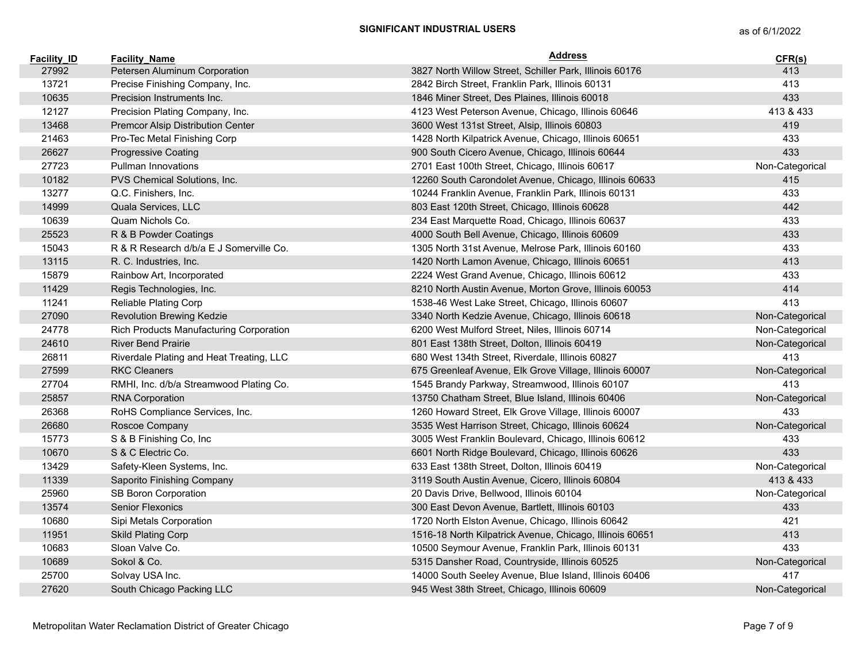| <b>Facility ID</b> | <b>Facility Name</b>                     | <b>Address</b>                                           | CFR(s)          |
|--------------------|------------------------------------------|----------------------------------------------------------|-----------------|
| 27992              | Petersen Aluminum Corporation            | 3827 North Willow Street, Schiller Park, Illinois 60176  | 413             |
| 13721              | Precise Finishing Company, Inc.          | 2842 Birch Street, Franklin Park, Illinois 60131         | 413             |
| 10635              | Precision Instruments Inc.               | 1846 Miner Street, Des Plaines, Illinois 60018           | 433             |
| 12127              | Precision Plating Company, Inc.          | 4123 West Peterson Avenue, Chicago, Illinois 60646       | 413 & 433       |
| 13468              | Premcor Alsip Distribution Center        | 3600 West 131st Street, Alsip, Illinois 60803            | 419             |
| 21463              | Pro-Tec Metal Finishing Corp             | 1428 North Kilpatrick Avenue, Chicago, Illinois 60651    | 433             |
| 26627              | <b>Progressive Coating</b>               | 900 South Cicero Avenue, Chicago, Illinois 60644         | 433             |
| 27723              | Pullman Innovations                      | 2701 East 100th Street, Chicago, Illinois 60617          | Non-Categorical |
| 10182              | PVS Chemical Solutions, Inc.             | 12260 South Carondolet Avenue, Chicago, Illinois 60633   | 415             |
| 13277              | Q.C. Finishers, Inc.                     | 10244 Franklin Avenue, Franklin Park, Illinois 60131     | 433             |
| 14999              | Quala Services, LLC                      | 803 East 120th Street, Chicago, Illinois 60628           | 442             |
| 10639              | Quam Nichols Co.                         | 234 East Marquette Road, Chicago, Illinois 60637         | 433             |
| 25523              | R & B Powder Coatings                    | 4000 South Bell Avenue, Chicago, Illinois 60609          | 433             |
| 15043              | R & R Research d/b/a E J Somerville Co.  | 1305 North 31st Avenue, Melrose Park, Illinois 60160     | 433             |
| 13115              | R. C. Industries, Inc.                   | 1420 North Lamon Avenue, Chicago, Illinois 60651         | 413             |
| 15879              | Rainbow Art, Incorporated                | 2224 West Grand Avenue, Chicago, Illinois 60612          | 433             |
| 11429              | Regis Technologies, Inc.                 | 8210 North Austin Avenue, Morton Grove, Illinois 60053   | 414             |
| 11241              | Reliable Plating Corp                    | 1538-46 West Lake Street, Chicago, Illinois 60607        | 413             |
| 27090              | Revolution Brewing Kedzie                | 3340 North Kedzie Avenue, Chicago, Illinois 60618        | Non-Categorical |
| 24778              | Rich Products Manufacturing Corporation  | 6200 West Mulford Street, Niles, Illinois 60714          | Non-Categorical |
| 24610              | <b>River Bend Prairie</b>                | 801 East 138th Street, Dolton, Illinois 60419            | Non-Categorical |
| 26811              | Riverdale Plating and Heat Treating, LLC | 680 West 134th Street, Riverdale, Illinois 60827         | 413             |
| 27599              | <b>RKC Cleaners</b>                      | 675 Greenleaf Avenue, Elk Grove Village, Illinois 60007  | Non-Categorical |
| 27704              | RMHI, Inc. d/b/a Streamwood Plating Co.  | 1545 Brandy Parkway, Streamwood, Illinois 60107          | 413             |
| 25857              | <b>RNA Corporation</b>                   | 13750 Chatham Street, Blue Island, Illinois 60406        | Non-Categorical |
| 26368              | RoHS Compliance Services, Inc.           | 1260 Howard Street, Elk Grove Village, Illinois 60007    | 433             |
| 26680              | Roscoe Company                           | 3535 West Harrison Street, Chicago, Illinois 60624       | Non-Categorical |
| 15773              | S & B Finishing Co, Inc                  | 3005 West Franklin Boulevard, Chicago, Illinois 60612    | 433             |
| 10670              | S & C Electric Co.                       | 6601 North Ridge Boulevard, Chicago, Illinois 60626      | 433             |
| 13429              | Safety-Kleen Systems, Inc.               | 633 East 138th Street, Dolton, Illinois 60419            | Non-Categorical |
| 11339              | Saporito Finishing Company               | 3119 South Austin Avenue, Cicero, Illinois 60804         | 413 & 433       |
| 25960              | SB Boron Corporation                     | 20 Davis Drive, Bellwood, Illinois 60104                 | Non-Categorical |
| 13574              | Senior Flexonics                         | 300 East Devon Avenue, Bartlett, Illinois 60103          | 433             |
| 10680              | Sipi Metals Corporation                  | 1720 North Elston Avenue, Chicago, Illinois 60642        | 421             |
| 11951              | <b>Skild Plating Corp</b>                | 1516-18 North Kilpatrick Avenue, Chicago, Illinois 60651 | 413             |
| 10683              | Sloan Valve Co.                          | 10500 Seymour Avenue, Franklin Park, Illinois 60131      | 433             |
| 10689              | Sokol & Co.                              | 5315 Dansher Road, Countryside, Illinois 60525           | Non-Categorical |
| 25700              | Solvay USA Inc.                          | 14000 South Seeley Avenue, Blue Island, Illinois 60406   | 417             |
| 27620              | South Chicago Packing LLC                | 945 West 38th Street, Chicago, Illinois 60609            | Non-Categorical |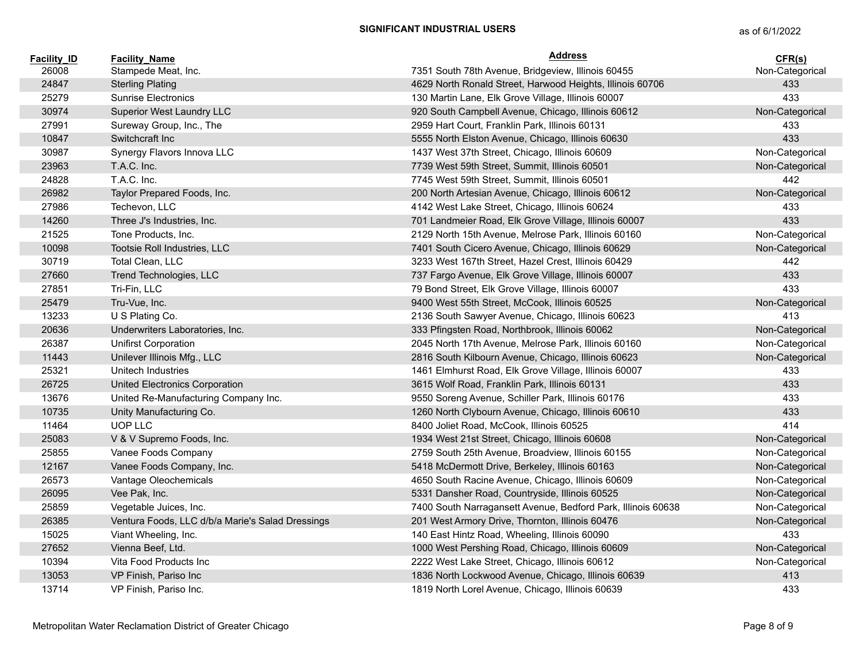| <b>Facility ID</b> | <b>Facility Name</b>                             | Address                                                      | CFR(s)          |
|--------------------|--------------------------------------------------|--------------------------------------------------------------|-----------------|
| 26008              | Stampede Meat, Inc.                              | 7351 South 78th Avenue, Bridgeview, Illinois 60455           | Non-Categorical |
| 24847              | <b>Sterling Plating</b>                          | 4629 North Ronald Street, Harwood Heights, Illinois 60706    | 433             |
| 25279              | Sunrise Electronics                              | 130 Martin Lane, Elk Grove Village, Illinois 60007           | 433             |
| 30974              | Superior West Laundry LLC                        | 920 South Campbell Avenue, Chicago, Illinois 60612           | Non-Categorical |
| 27991              | Sureway Group, Inc., The                         | 2959 Hart Court, Franklin Park, Illinois 60131               | 433             |
| 10847              | Switchcraft Inc                                  | 5555 North Elston Avenue, Chicago, Illinois 60630            | 433             |
| 30987              | Synergy Flavors Innova LLC                       | 1437 West 37th Street, Chicago, Illinois 60609               | Non-Categorical |
| 23963              | T.A.C. Inc.                                      | 7739 West 59th Street, Summit, Illinois 60501                | Non-Categorical |
| 24828              | T.A.C. Inc.                                      | 7745 West 59th Street, Summit, Illinois 60501                | 442             |
| 26982              | Taylor Prepared Foods, Inc.                      | 200 North Artesian Avenue, Chicago, Illinois 60612           | Non-Categorical |
| 27986              | Techevon, LLC                                    | 4142 West Lake Street, Chicago, Illinois 60624               | 433             |
| 14260              | Three J's Industries, Inc.                       | 701 Landmeier Road, Elk Grove Village, Illinois 60007        | 433             |
| 21525              | Tone Products, Inc.                              | 2129 North 15th Avenue, Melrose Park, Illinois 60160         | Non-Categorical |
| 10098              | Tootsie Roll Industries, LLC                     | 7401 South Cicero Avenue, Chicago, Illinois 60629            | Non-Categorical |
| 30719              | Total Clean, LLC                                 | 3233 West 167th Street, Hazel Crest, Illinois 60429          | 442             |
| 27660              | Trend Technologies, LLC                          | 737 Fargo Avenue, Elk Grove Village, Illinois 60007          | 433             |
| 27851              | Tri-Fin, LLC                                     | 79 Bond Street, Elk Grove Village, Illinois 60007            | 433             |
| 25479              | Tru-Vue, Inc.                                    | 9400 West 55th Street, McCook, Illinois 60525                | Non-Categorical |
| 13233              | U S Plating Co.                                  | 2136 South Sawyer Avenue, Chicago, Illinois 60623            | 413             |
| 20636              | Underwriters Laboratories, Inc.                  | 333 Pfingsten Road, Northbrook, Illinois 60062               | Non-Categorical |
| 26387              | Unifirst Corporation                             | 2045 North 17th Avenue, Melrose Park, Illinois 60160         | Non-Categorical |
| 11443              | Unilever Illinois Mfg., LLC                      | 2816 South Kilbourn Avenue, Chicago, Illinois 60623          | Non-Categorical |
| 25321              | Unitech Industries                               | 1461 Elmhurst Road, Elk Grove Village, Illinois 60007        | 433             |
| 26725              | United Electronics Corporation                   | 3615 Wolf Road, Franklin Park, Illinois 60131                | 433             |
| 13676              | United Re-Manufacturing Company Inc.             | 9550 Soreng Avenue, Schiller Park, Illinois 60176            | 433             |
| 10735              | Unity Manufacturing Co.                          | 1260 North Clybourn Avenue, Chicago, Illinois 60610          | 433             |
| 11464              | UOP LLC                                          | 8400 Joliet Road, McCook, Illinois 60525                     | 414             |
| 25083              | V & V Supremo Foods, Inc.                        | 1934 West 21st Street, Chicago, Illinois 60608               | Non-Categorical |
| 25855              | Vanee Foods Company                              | 2759 South 25th Avenue, Broadview, Illinois 60155            | Non-Categorical |
| 12167              | Vanee Foods Company, Inc.                        | 5418 McDermott Drive, Berkeley, Illinois 60163               | Non-Categorical |
| 26573              | Vantage Oleochemicals                            | 4650 South Racine Avenue, Chicago, Illinois 60609            | Non-Categorical |
| 26095              | Vee Pak, Inc.                                    | 5331 Dansher Road, Countryside, Illinois 60525               | Non-Categorical |
| 25859              | Vegetable Juices, Inc.                           | 7400 South Narragansett Avenue, Bedford Park, Illinois 60638 | Non-Categorical |
| 26385              | Ventura Foods, LLC d/b/a Marie's Salad Dressings | 201 West Armory Drive, Thornton, Illinois 60476              | Non-Categorical |
| 15025              | Viant Wheeling, Inc.                             | 140 East Hintz Road, Wheeling, Illinois 60090                | 433             |
| 27652              | Vienna Beef, Ltd.                                | 1000 West Pershing Road, Chicago, Illinois 60609             | Non-Categorical |
| 10394              | Vita Food Products Inc                           | 2222 West Lake Street, Chicago, Illinois 60612               | Non-Categorical |
| 13053              | VP Finish, Pariso Inc                            | 1836 North Lockwood Avenue, Chicago, Illinois 60639          | 413             |
| 13714              | VP Finish, Pariso Inc.                           | 1819 North Lorel Avenue, Chicago, Illinois 60639             | 433             |